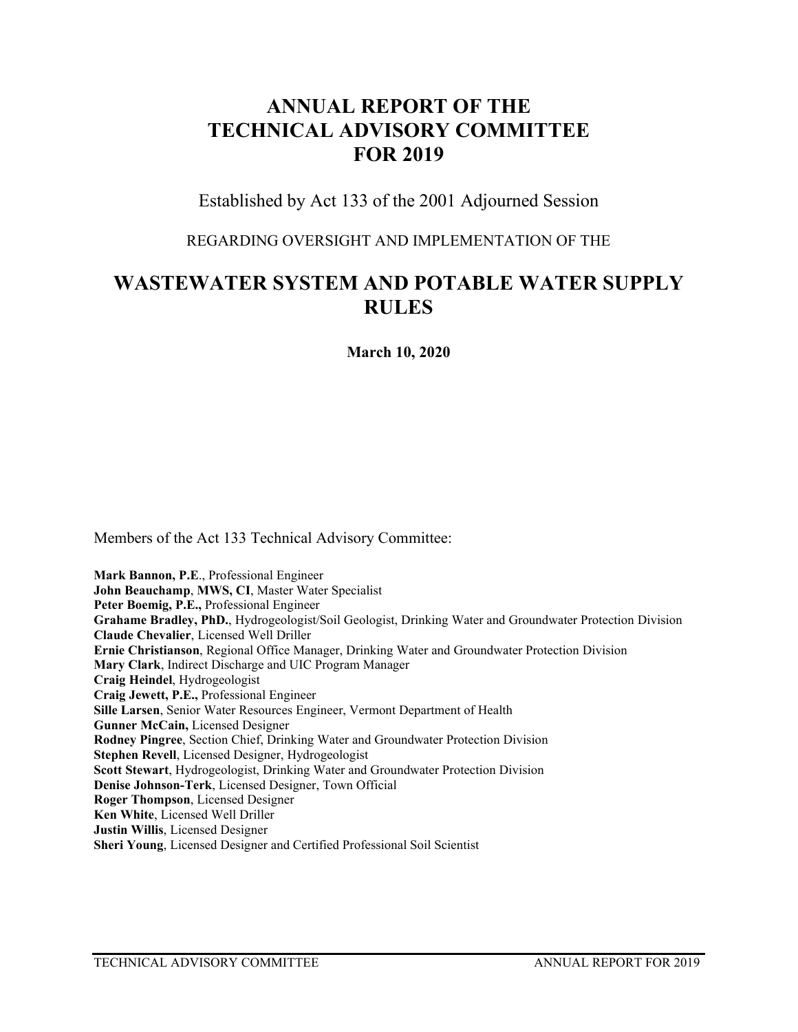# **ANNUAL REPORT OF THE TECHNICAL ADVISORY COMMITTEE FOR 2019**

Established by Act 133 of the 2001 Adjourned Session

REGARDING OVERSIGHT AND IMPLEMENTATION OF THE

# **WASTEWATER SYSTEM AND POTABLE WATER SUPPLY RULES**

**March 10, 2020**

Members of the Act 133 Technical Advisory Committee:

**Mark Bannon, P.E**., Professional Engineer **John Beauchamp**, **MWS, CI**, Master Water Specialist **Peter Boemig, P.E.,** Professional Engineer **Grahame Bradley, PhD.**, Hydrogeologist/Soil Geologist, Drinking Water and Groundwater Protection Division **Claude Chevalier**, Licensed Well Driller **Ernie Christianson**, Regional Office Manager, Drinking Water and Groundwater Protection Division **Mary Clark**, Indirect Discharge and UIC Program Manager **Craig Heindel**, Hydrogeologist **Craig Jewett, P.E.,** Professional Engineer **Sille Larsen**, Senior Water Resources Engineer, Vermont Department of Health **Gunner McCain,** Licensed Designer **Rodney Pingree**, Section Chief, Drinking Water and Groundwater Protection Division **Stephen Revell**, Licensed Designer, Hydrogeologist **Scott Stewart**, Hydrogeologist, Drinking Water and Groundwater Protection Division **Denise Johnson-Terk**, Licensed Designer, Town Official **Roger Thompson**, Licensed Designer **Ken White**, Licensed Well Driller **Justin Willis**, Licensed Designer **Sheri Young**, Licensed Designer and Certified Professional Soil Scientist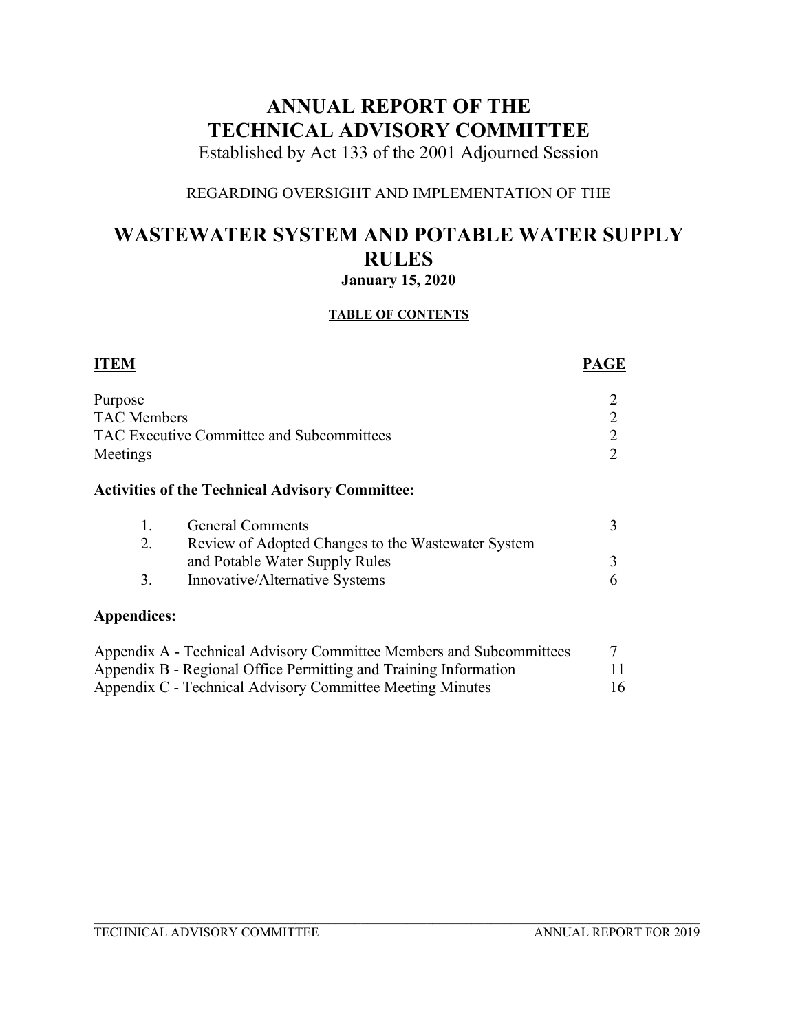# **ANNUAL REPORT OF THE TECHNICAL ADVISORY COMMITTEE**

Established by Act 133 of the 2001 Adjourned Session

## REGARDING OVERSIGHT AND IMPLEMENTATION OF THE

# **WASTEWATER SYSTEM AND POTABLE WATER SUPPLY RULES January 15, 2020**

#### **TABLE OF CONTENTS**

| <b>ITEM</b>        |                                                                     | PAGE                        |
|--------------------|---------------------------------------------------------------------|-----------------------------|
| Purpose            |                                                                     |                             |
| <b>TAC</b> Members |                                                                     |                             |
|                    | TAC Executive Committee and Subcommittees                           | 2                           |
| Meetings           |                                                                     | $\mathcal{D}_{\mathcal{L}}$ |
|                    | <b>Activities of the Technical Advisory Committee:</b>              |                             |
| 1.                 | <b>General Comments</b>                                             | 3                           |
| 2.                 | Review of Adopted Changes to the Wastewater System                  |                             |
|                    | and Potable Water Supply Rules                                      | 3                           |
| 3.                 | Innovative/Alternative Systems                                      | 6                           |
| Appendices:        |                                                                     |                             |
|                    | Appendix A - Technical Advisory Committee Members and Subcommittees |                             |
|                    | Appendix B - Regional Office Permitting and Training Information    | 11                          |
|                    | Appendix C - Technical Advisory Committee Meeting Minutes           | 16                          |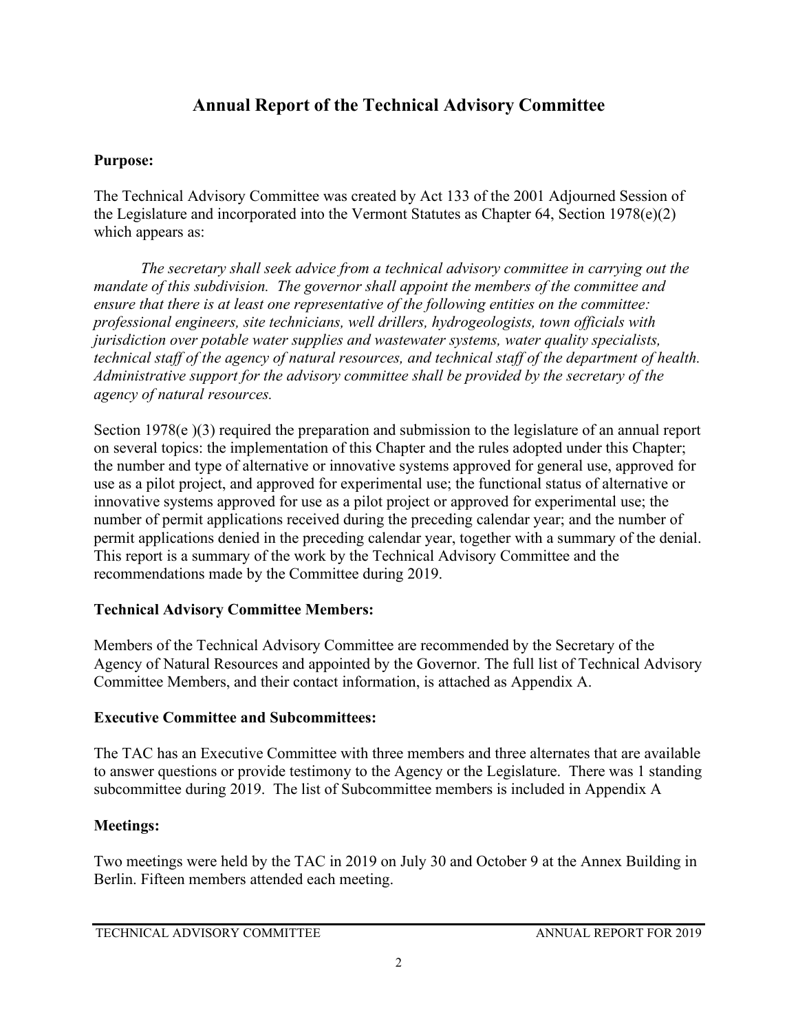# **Annual Report of the Technical Advisory Committee**

### **Purpose:**

The Technical Advisory Committee was created by Act 133 of the 2001 Adjourned Session of the Legislature and incorporated into the Vermont Statutes as Chapter 64, Section 1978(e)(2) which appears as:

*The secretary shall seek advice from a technical advisory committee in carrying out the mandate of this subdivision. The governor shall appoint the members of the committee and ensure that there is at least one representative of the following entities on the committee: professional engineers, site technicians, well drillers, hydrogeologists, town officials with jurisdiction over potable water supplies and wastewater systems, water quality specialists, technical staff of the agency of natural resources, and technical staff of the department of health. Administrative support for the advisory committee shall be provided by the secretary of the agency of natural resources.* 

Section 1978(e)(3) required the preparation and submission to the legislature of an annual report on several topics: the implementation of this Chapter and the rules adopted under this Chapter; the number and type of alternative or innovative systems approved for general use, approved for use as a pilot project, and approved for experimental use; the functional status of alternative or innovative systems approved for use as a pilot project or approved for experimental use; the number of permit applications received during the preceding calendar year; and the number of permit applications denied in the preceding calendar year, together with a summary of the denial. This report is a summary of the work by the Technical Advisory Committee and the recommendations made by the Committee during 2019.

### **Technical Advisory Committee Members:**

Members of the Technical Advisory Committee are recommended by the Secretary of the Agency of Natural Resources and appointed by the Governor. The full list of Technical Advisory Committee Members, and their contact information, is attached as Appendix A.

### **Executive Committee and Subcommittees:**

The TAC has an Executive Committee with three members and three alternates that are available to answer questions or provide testimony to the Agency or the Legislature. There was 1 standing subcommittee during 2019. The list of Subcommittee members is included in Appendix A

### **Meetings:**

Two meetings were held by the TAC in 2019 on July 30 and October 9 at the Annex Building in Berlin. Fifteen members attended each meeting.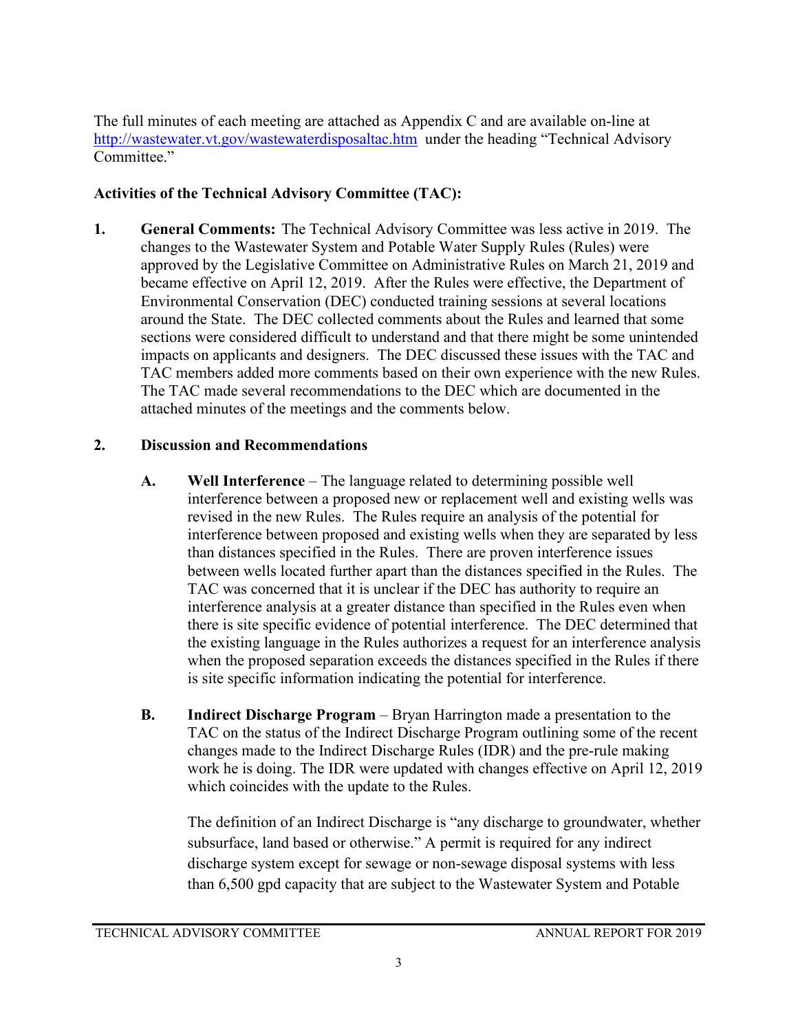The full minutes of each meeting are attached as Appendix C and are available on-line at <http://wastewater.vt.gov/wastewaterdisposaltac.htm> under the heading "Technical Advisory Committee."

## **Activities of the Technical Advisory Committee (TAC):**

**1. General Comments:** The Technical Advisory Committee was less active in 2019. The changes to the Wastewater System and Potable Water Supply Rules (Rules) were approved by the Legislative Committee on Administrative Rules on March 21, 2019 and became effective on April 12, 2019. After the Rules were effective, the Department of Environmental Conservation (DEC) conducted training sessions at several locations around the State. The DEC collected comments about the Rules and learned that some sections were considered difficult to understand and that there might be some unintended impacts on applicants and designers. The DEC discussed these issues with the TAC and TAC members added more comments based on their own experience with the new Rules. The TAC made several recommendations to the DEC which are documented in the attached minutes of the meetings and the comments below.

## **2. Discussion and Recommendations**

- **A. Well Interference** The language related to determining possible well interference between a proposed new or replacement well and existing wells was revised in the new Rules. The Rules require an analysis of the potential for interference between proposed and existing wells when they are separated by less than distances specified in the Rules. There are proven interference issues between wells located further apart than the distances specified in the Rules. The TAC was concerned that it is unclear if the DEC has authority to require an interference analysis at a greater distance than specified in the Rules even when there is site specific evidence of potential interference. The DEC determined that the existing language in the Rules authorizes a request for an interference analysis when the proposed separation exceeds the distances specified in the Rules if there is site specific information indicating the potential for interference.
- **B. Indirect Discharge Program** Bryan Harrington made a presentation to the TAC on the status of the Indirect Discharge Program outlining some of the recent changes made to the Indirect Discharge Rules (IDR) and the pre-rule making work he is doing. The IDR were updated with changes effective on April 12, 2019 which coincides with the update to the Rules.

The definition of an Indirect Discharge is "any discharge to groundwater, whether subsurface, land based or otherwise." A permit is required for any indirect discharge system except for sewage or non-sewage disposal systems with less than 6,500 gpd capacity that are subject to the Wastewater System and Potable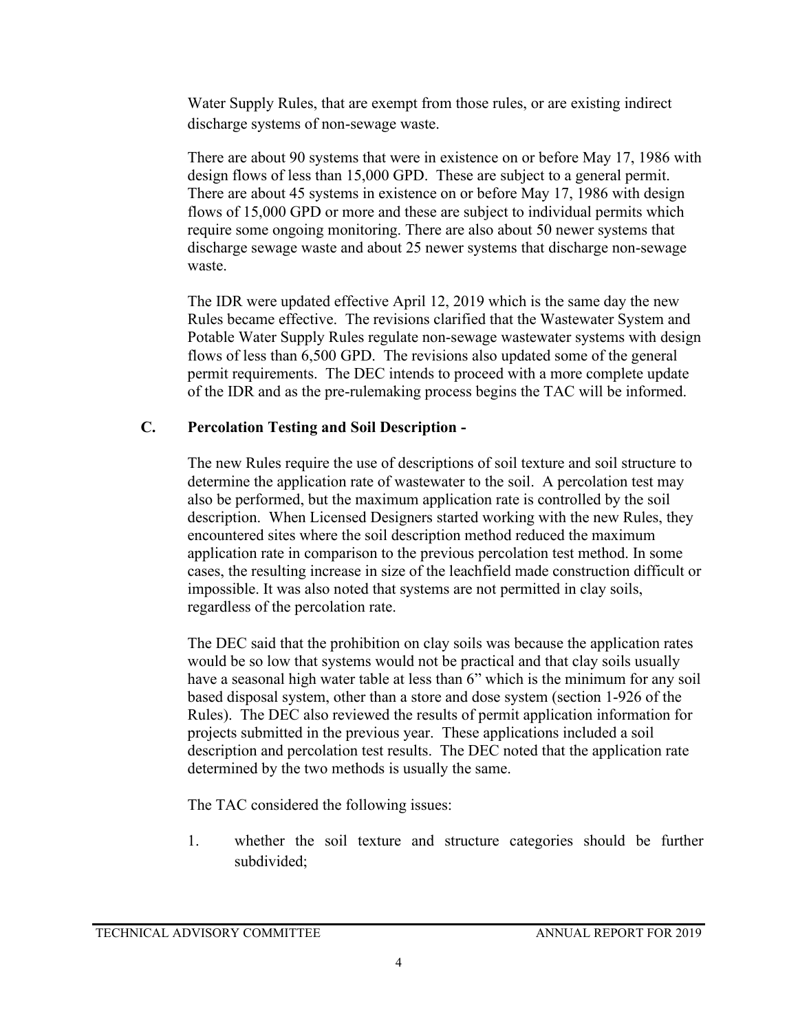Water Supply Rules, that are exempt from those rules, or are existing indirect discharge systems of non-sewage waste.

There are about 90 systems that were in existence on or before May 17, 1986 with design flows of less than 15,000 GPD. These are subject to a general permit. There are about 45 systems in existence on or before May 17, 1986 with design flows of 15,000 GPD or more and these are subject to individual permits which require some ongoing monitoring. There are also about 50 newer systems that discharge sewage waste and about 25 newer systems that discharge non-sewage waste.

The IDR were updated effective April 12, 2019 which is the same day the new Rules became effective. The revisions clarified that the Wastewater System and Potable Water Supply Rules regulate non-sewage wastewater systems with design flows of less than 6,500 GPD. The revisions also updated some of the general permit requirements. The DEC intends to proceed with a more complete update of the IDR and as the pre-rulemaking process begins the TAC will be informed.

### **C. Percolation Testing and Soil Description -**

The new Rules require the use of descriptions of soil texture and soil structure to determine the application rate of wastewater to the soil. A percolation test may also be performed, but the maximum application rate is controlled by the soil description. When Licensed Designers started working with the new Rules, they encountered sites where the soil description method reduced the maximum application rate in comparison to the previous percolation test method. In some cases, the resulting increase in size of the leachfield made construction difficult or impossible. It was also noted that systems are not permitted in clay soils, regardless of the percolation rate.

The DEC said that the prohibition on clay soils was because the application rates would be so low that systems would not be practical and that clay soils usually have a seasonal high water table at less than 6" which is the minimum for any soil based disposal system, other than a store and dose system (section 1-926 of the Rules). The DEC also reviewed the results of permit application information for projects submitted in the previous year. These applications included a soil description and percolation test results. The DEC noted that the application rate determined by the two methods is usually the same.

The TAC considered the following issues:

1. whether the soil texture and structure categories should be further subdivided;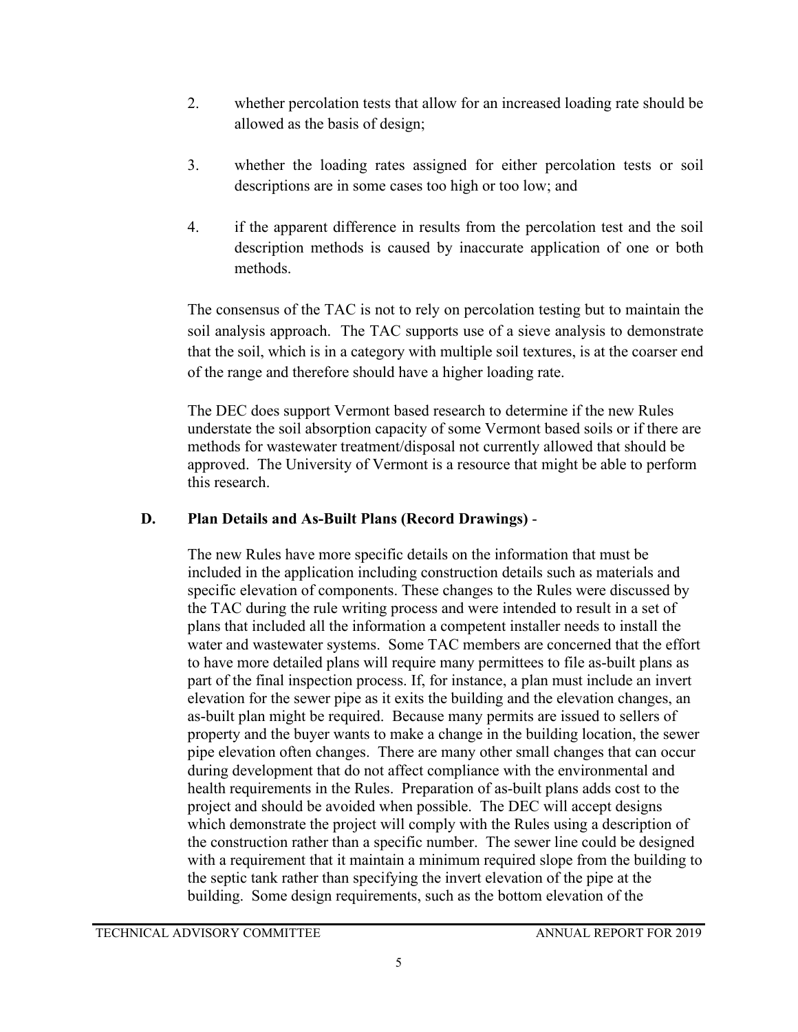- 2. whether percolation tests that allow for an increased loading rate should be allowed as the basis of design;
- 3. whether the loading rates assigned for either percolation tests or soil descriptions are in some cases too high or too low; and
- 4. if the apparent difference in results from the percolation test and the soil description methods is caused by inaccurate application of one or both methods.

The consensus of the TAC is not to rely on percolation testing but to maintain the soil analysis approach. The TAC supports use of a sieve analysis to demonstrate that the soil, which is in a category with multiple soil textures, is at the coarser end of the range and therefore should have a higher loading rate.

The DEC does support Vermont based research to determine if the new Rules understate the soil absorption capacity of some Vermont based soils or if there are methods for wastewater treatment/disposal not currently allowed that should be approved. The University of Vermont is a resource that might be able to perform this research.

### **D. Plan Details and As-Built Plans (Record Drawings)** -

The new Rules have more specific details on the information that must be included in the application including construction details such as materials and specific elevation of components. These changes to the Rules were discussed by the TAC during the rule writing process and were intended to result in a set of plans that included all the information a competent installer needs to install the water and wastewater systems. Some TAC members are concerned that the effort to have more detailed plans will require many permittees to file as-built plans as part of the final inspection process. If, for instance, a plan must include an invert elevation for the sewer pipe as it exits the building and the elevation changes, an as-built plan might be required. Because many permits are issued to sellers of property and the buyer wants to make a change in the building location, the sewer pipe elevation often changes. There are many other small changes that can occur during development that do not affect compliance with the environmental and health requirements in the Rules. Preparation of as-built plans adds cost to the project and should be avoided when possible. The DEC will accept designs which demonstrate the project will comply with the Rules using a description of the construction rather than a specific number. The sewer line could be designed with a requirement that it maintain a minimum required slope from the building to the septic tank rather than specifying the invert elevation of the pipe at the building. Some design requirements, such as the bottom elevation of the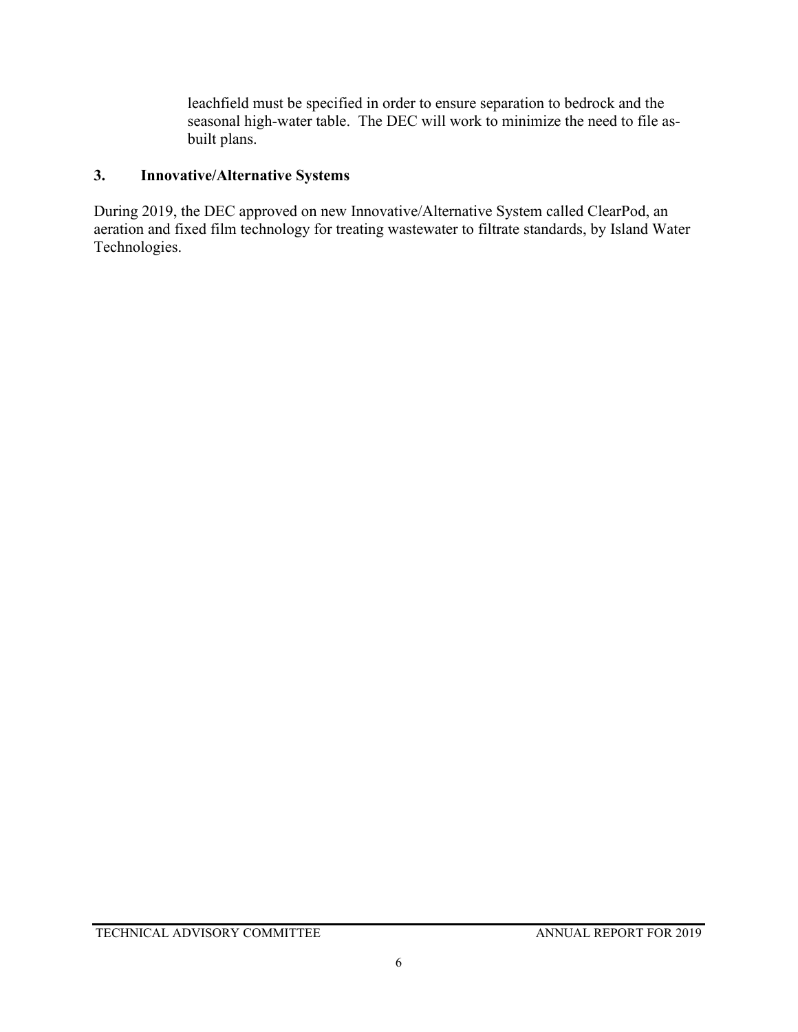leachfield must be specified in order to ensure separation to bedrock and the seasonal high-water table. The DEC will work to minimize the need to file asbuilt plans.

## **3. Innovative/Alternative Systems**

During 2019, the DEC approved on new Innovative/Alternative System called ClearPod, an aeration and fixed film technology for treating wastewater to filtrate standards, by Island Water Technologies.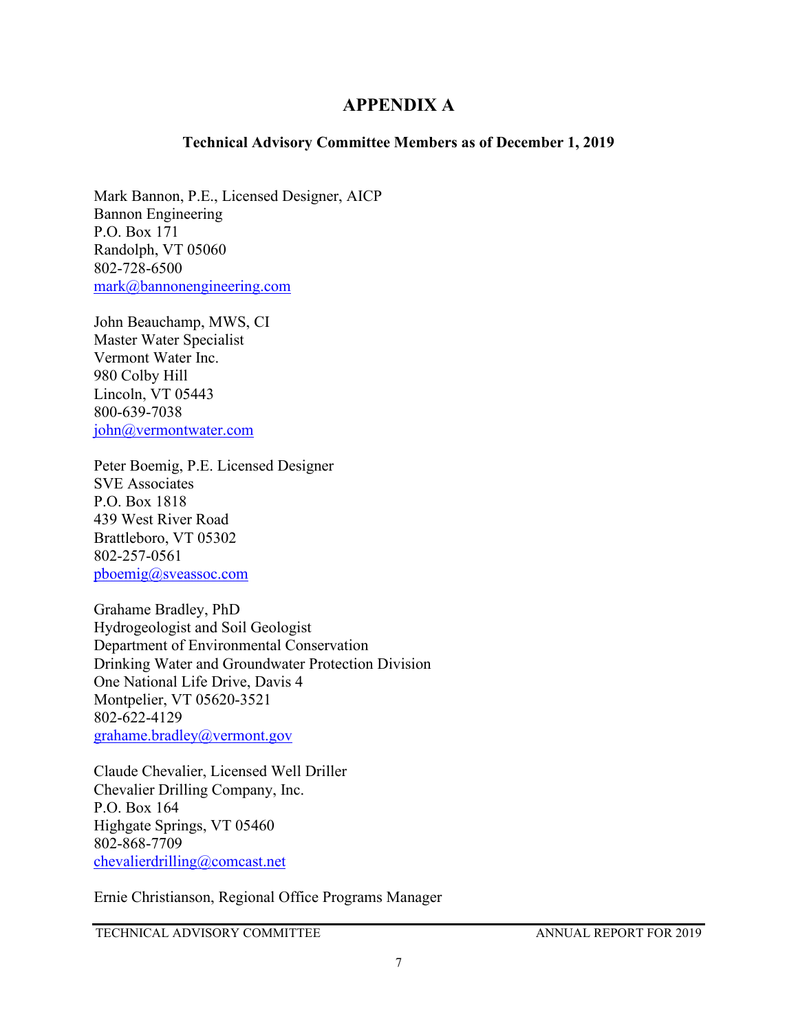### **APPENDIX A**

#### **Technical Advisory Committee Members as of December 1, 2019**

Mark Bannon, P.E., Licensed Designer, AICP Bannon Engineering P.O. Box 171 Randolph, VT 05060 802-728-6500 [mark@bannonengineering.com](mailto:mark@bannonengineering.com)

John Beauchamp, MWS, CI Master Water Specialist Vermont Water Inc. 980 Colby Hill Lincoln, VT 05443 800-639-7038 [john@vermontwater.com](mailto:john@vermontwater.com)

Peter Boemig, P.E. Licensed Designer SVE Associates P.O. Box 1818 439 West River Road Brattleboro, VT 05302 802-257-0561 [pboemig@sveassoc.com](mailto:pboemig@sveassoc.com)

Grahame Bradley, PhD Hydrogeologist and Soil Geologist Department of Environmental Conservation Drinking Water and Groundwater Protection Division One National Life Drive, Davis 4 Montpelier, VT 05620-3521 802-622-4129 [grahame.bradley@vermont.gov](mailto:grahame.bradley@vermont.gov)

Claude Chevalier, Licensed Well Driller Chevalier Drilling Company, Inc. P.O. Box 164 Highgate Springs, VT 05460 802-868-7709 [chevalierdrilling@comcast.net](mailto:chevalierdrilling@comcast.net)

Ernie Christianson, Regional Office Programs Manager

TECHNICAL ADVISORY COMMITTEE ANNUAL REPORT FOR 2019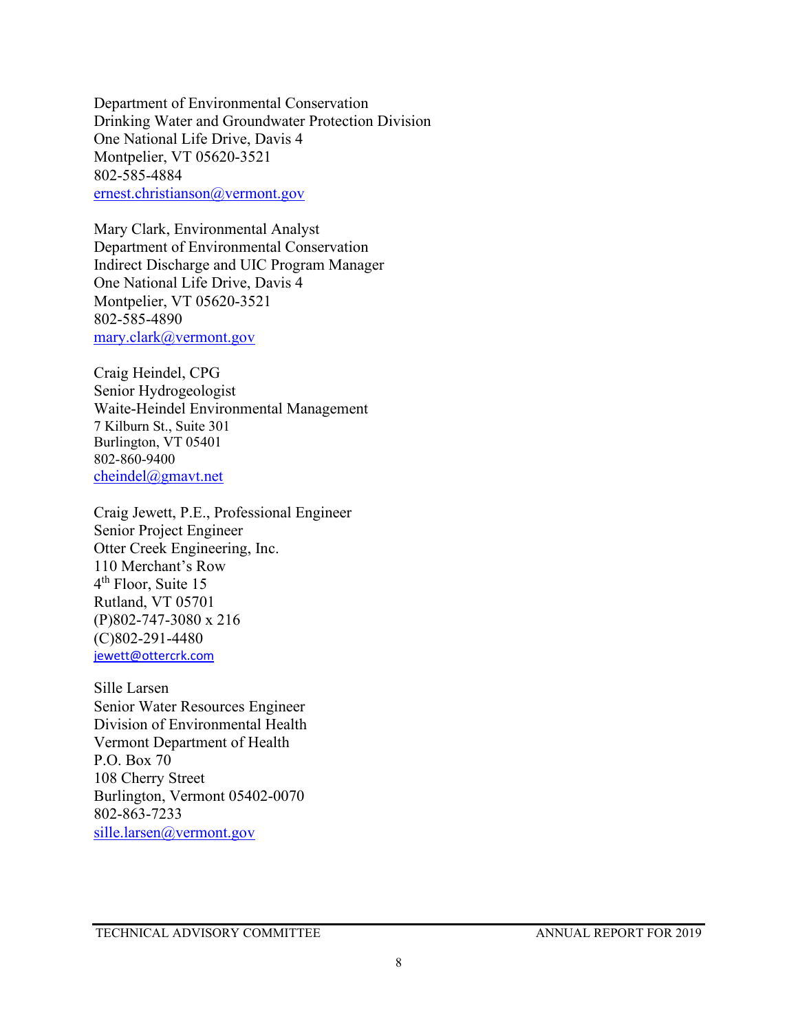Department of Environmental Conservation Drinking Water and Groundwater Protection Division One National Life Drive, Davis 4 Montpelier, VT 05620-3521 802-585-4884 [ernest.christianson@vermont.gov](mailto:ernest.christianson@vermont.gov)

Mary Clark, Environmental Analyst Department of Environmental Conservation Indirect Discharge and UIC Program Manager One National Life Drive, Davis 4 Montpelier, VT 05620-3521 802-585-4890 [mary.clark@vermont.gov](mailto:mary.clark@vermont.gov)

Craig Heindel, CPG Senior Hydrogeologist Waite-Heindel Environmental Management 7 Kilburn St., Suite 301 Burlington, VT 05401 802-860-9400 [cheindel@gmavt.net](mailto:cheindel@gmavt.net)

Craig Jewett, P.E., Professional Engineer Senior Project Engineer Otter Creek Engineering, Inc. 110 Merchant's Row 4th Floor, Suite 15 Rutland, VT 05701 (P)802-747-3080 x 216 (C)802-291-4480 [jewett@ottercrk.com](mailto:jewett@ottercrk.com)

Sille Larsen Senior Water Resources Engineer Division of Environmental Health Vermont Department of Health P.O. Box 70 108 Cherry Street Burlington, Vermont 05402-0070 802-863-7233 [sille.larsen@vermont.gov](mailto:sille.larsen@vermont.gov)

TECHNICAL ADVISORY COMMITTEE ANNUAL REPORT FOR 2019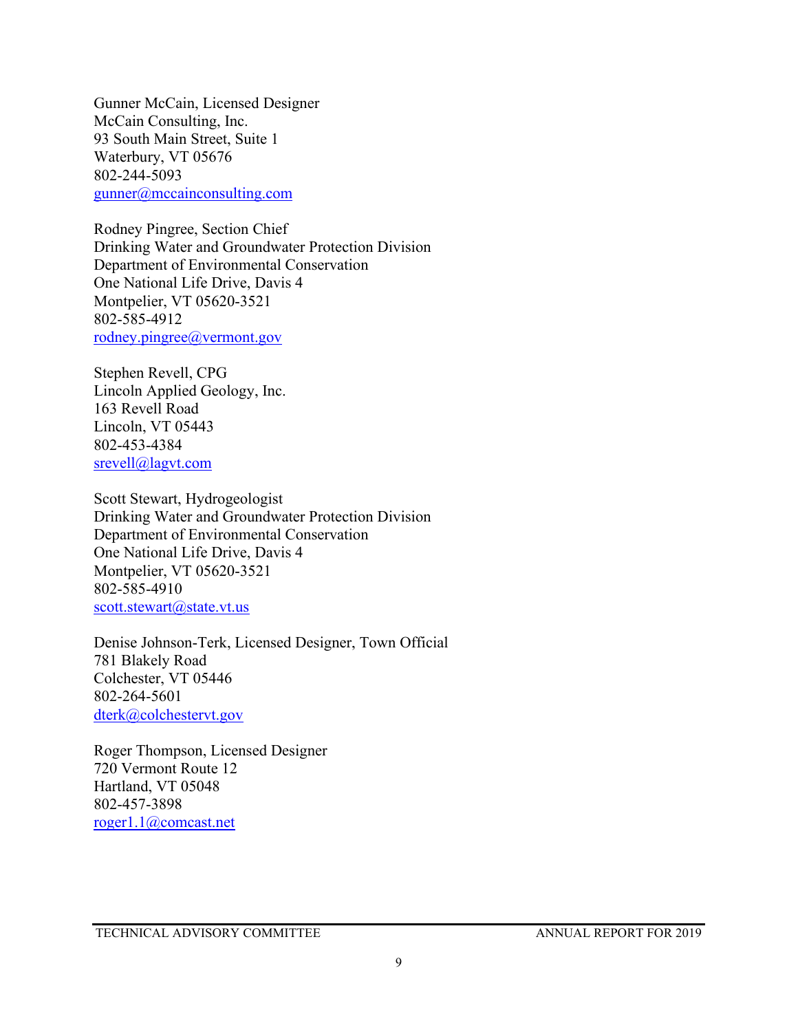Gunner McCain, Licensed Designer McCain Consulting, Inc. 93 South Main Street, Suite 1 Waterbury, VT 05676 802-244-5093 [gunner@mccainconsulting.com](mailto:gunner@mccainconsulting.com)

Rodney Pingree, Section Chief Drinking Water and Groundwater Protection Division Department of Environmental Conservation One National Life Drive, Davis 4 Montpelier, VT 05620-3521 802-585-4912 [rodney.pingree@vermont.gov](mailto:rodney.pingree@vermont.gov)

Stephen Revell, CPG Lincoln Applied Geology, Inc. 163 Revell Road Lincoln, VT 05443 802-453-4384 [srevell@lagvt.com](mailto:srevell@lagvt.com)

Scott Stewart, Hydrogeologist Drinking Water and Groundwater Protection Division Department of Environmental Conservation One National Life Drive, Davis 4 Montpelier, VT 05620-3521 802-585-4910 [scott.stewart@state.vt.us](mailto:scott.stewart@state.vt.us)

Denise Johnson-Terk, Licensed Designer, Town Official 781 Blakely Road Colchester, VT 05446 802-264-5601 [dterk@colchestervt.gov](mailto:dterk@colchestervt.gov)

Roger Thompson, Licensed Designer 720 Vermont Route 12 Hartland, VT 05048 802-457-3898 [roger1.1@comcast.net](mailto:roger1.1@comcast.net)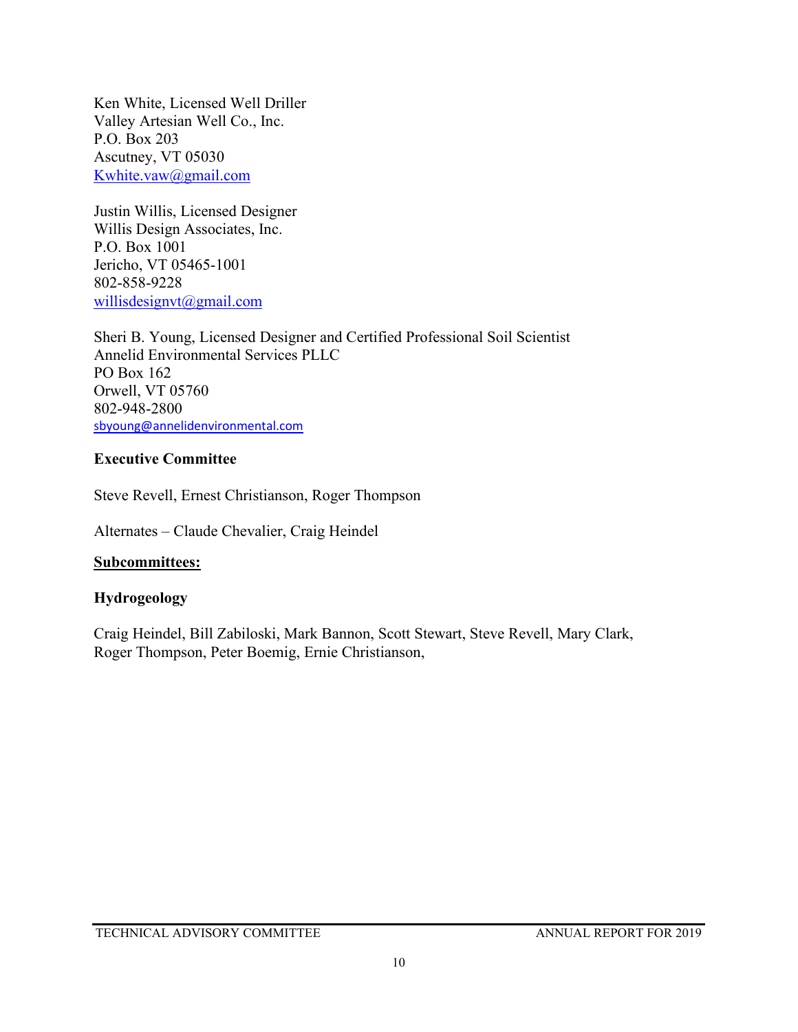Ken White, Licensed Well Driller Valley Artesian Well Co., Inc. P.O. Box 203 Ascutney, VT 05030 [Kwhite.vaw@gmail.com](mailto:Kwhite.vaw@gmail.com)

Justin Willis, Licensed Designer Willis Design Associates, Inc. P.O. Box 1001 Jericho, VT 05465-1001 802-858-9228 [willisdesignvt@gmail.c](mailto:willisdesignvt@gmail.)om

Sheri B. Young, Licensed Designer and Certified Professional Soil Scientist Annelid Environmental Services PLLC PO Box 162 Orwell, VT 05760 802-948-2800 [sbyoung@annelidenvironmental.com](mailto:sbyoung@annelidenvironmental.com)

#### **Executive Committee**

Steve Revell, Ernest Christianson, Roger Thompson

Alternates – Claude Chevalier, Craig Heindel

#### **Subcommittees:**

#### **Hydrogeology**

Craig Heindel, Bill Zabiloski, Mark Bannon, Scott Stewart, Steve Revell, Mary Clark, Roger Thompson, Peter Boemig, Ernie Christianson,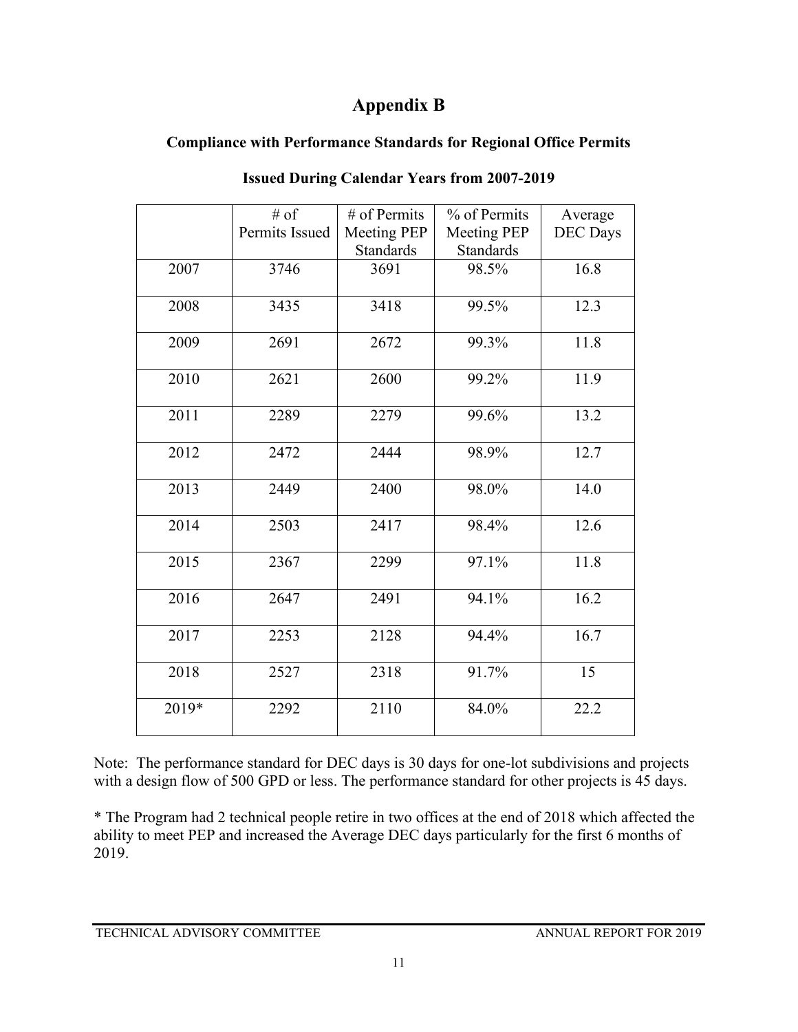# **Appendix B**

# **Compliance with Performance Standards for Regional Office Permits**

|       | $#$ of         | # of Permits                           | % of Permits                           | Average         |
|-------|----------------|----------------------------------------|----------------------------------------|-----------------|
|       | Permits Issued | <b>Meeting PEP</b><br><b>Standards</b> | <b>Meeting PEP</b><br><b>Standards</b> | <b>DEC</b> Days |
| 2007  | 3746           | 3691                                   | 98.5%                                  | 16.8            |
| 2008  | 3435           | 3418                                   | 99.5%                                  | 12.3            |
| 2009  | 2691           | 2672                                   | 99.3%                                  | 11.8            |
| 2010  | 2621           | 2600                                   | 99.2%                                  | 11.9            |
| 2011  | 2289           | 2279                                   | 99.6%                                  | 13.2            |
| 2012  | 2472           | 2444                                   | 98.9%                                  | 12.7            |
| 2013  | 2449           | 2400                                   | 98.0%                                  | 14.0            |
| 2014  | 2503           | 2417                                   | 98.4%                                  | 12.6            |
| 2015  | 2367           | 2299                                   | 97.1%                                  | 11.8            |
| 2016  | 2647           | 2491                                   | 94.1%                                  | 16.2            |
| 2017  | 2253           | 2128                                   | 94.4%                                  | 16.7            |
| 2018  | 2527           | 2318                                   | 91.7%                                  | 15              |
| 2019* | 2292           | 2110                                   | 84.0%                                  | 22.2            |

**Issued During Calendar Years from 2007-2019**

Note: The performance standard for DEC days is 30 days for one-lot subdivisions and projects with a design flow of 500 GPD or less. The performance standard for other projects is 45 days.

\* The Program had 2 technical people retire in two offices at the end of 2018 which affected the ability to meet PEP and increased the Average DEC days particularly for the first 6 months of 2019.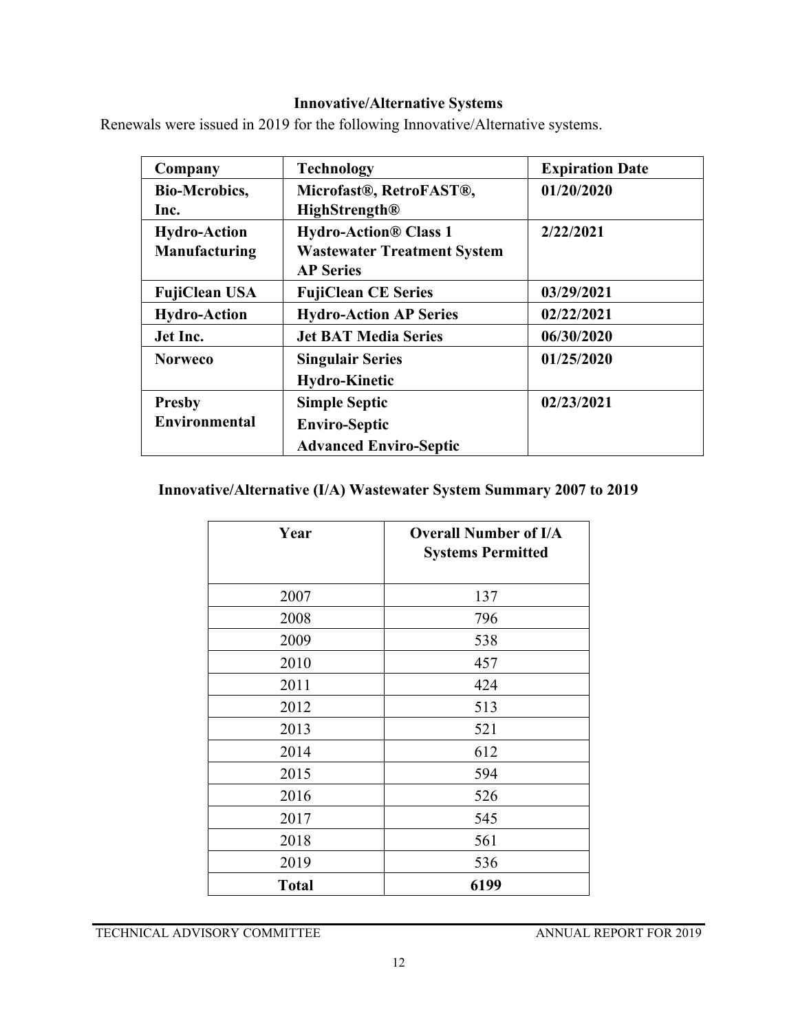# **Innovative/Alternative Systems**

Renewals were issued in 2019 for the following Innovative/Alternative systems.

| Company              | <b>Technology</b>                  | <b>Expiration Date</b> |
|----------------------|------------------------------------|------------------------|
| <b>Bio-Mcrobics,</b> | Microfast®, RetroFAST®,            | 01/20/2020             |
| Inc.                 | <b>HighStrength®</b>               |                        |
| <b>Hydro-Action</b>  | <b>Hydro-Action® Class 1</b>       | 2/22/2021              |
| <b>Manufacturing</b> | <b>Wastewater Treatment System</b> |                        |
|                      | <b>AP Series</b>                   |                        |
| <b>FujiClean USA</b> | <b>FujiClean CE Series</b>         | 03/29/2021             |
| <b>Hydro-Action</b>  | <b>Hydro-Action AP Series</b>      | 02/22/2021             |
| Jet Inc.             | <b>Jet BAT Media Series</b>        | 06/30/2020             |
| <b>Norweco</b>       | <b>Singulair Series</b>            | 01/25/2020             |
|                      | <b>Hydro-Kinetic</b>               |                        |
| <b>Presby</b>        | <b>Simple Septic</b>               | 02/23/2021             |
| <b>Environmental</b> | <b>Enviro-Septic</b>               |                        |
|                      | <b>Advanced Enviro-Septic</b>      |                        |

## **Innovative/Alternative (I/A) Wastewater System Summary 2007 to 2019**

| Year         | <b>Overall Number of I/A</b><br><b>Systems Permitted</b> |
|--------------|----------------------------------------------------------|
| 2007         | 137                                                      |
| 2008         | 796                                                      |
| 2009         | 538                                                      |
| 2010         | 457                                                      |
| 2011         | 424                                                      |
| 2012         | 513                                                      |
| 2013         | 521                                                      |
| 2014         | 612                                                      |
| 2015         | 594                                                      |
| 2016         | 526                                                      |
| 2017         | 545                                                      |
| 2018         | 561                                                      |
| 2019         | 536                                                      |
| <b>Total</b> | 6199                                                     |

TECHNICAL ADVISORY COMMITTEE ANNUAL REPORT FOR 2019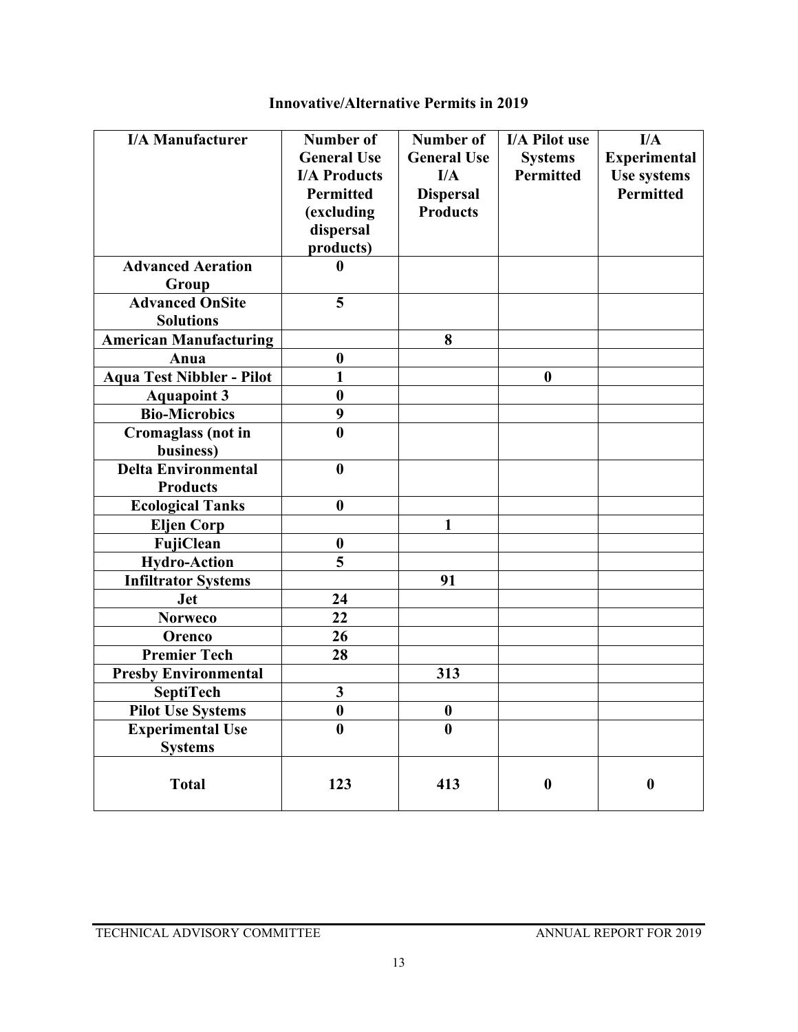## **Innovative/Alternative Permits in 2019**

| <b>I/A Manufacturer</b>                       | <b>Number of</b><br><b>General Use</b><br><b>I/A Products</b><br><b>Permitted</b><br>(excluding<br>dispersal<br>products) | Number of<br><b>General Use</b><br>I/A<br><b>Dispersal</b><br><b>Products</b> | I/A Pilot use<br><b>Systems</b><br><b>Permitted</b> | I/A<br><b>Experimental</b><br><b>Use systems</b><br><b>Permitted</b> |
|-----------------------------------------------|---------------------------------------------------------------------------------------------------------------------------|-------------------------------------------------------------------------------|-----------------------------------------------------|----------------------------------------------------------------------|
| <b>Advanced Aeration</b><br>Group             | 0                                                                                                                         |                                                                               |                                                     |                                                                      |
| <b>Advanced OnSite</b><br><b>Solutions</b>    | 5                                                                                                                         |                                                                               |                                                     |                                                                      |
| <b>American Manufacturing</b>                 |                                                                                                                           | 8                                                                             |                                                     |                                                                      |
| Anua                                          | $\boldsymbol{0}$                                                                                                          |                                                                               |                                                     |                                                                      |
| <b>Aqua Test Nibbler - Pilot</b>              | 1                                                                                                                         |                                                                               | $\boldsymbol{0}$                                    |                                                                      |
| <b>Aquapoint 3</b>                            | $\boldsymbol{0}$                                                                                                          |                                                                               |                                                     |                                                                      |
| <b>Bio-Microbics</b>                          | 9                                                                                                                         |                                                                               |                                                     |                                                                      |
| <b>Cromaglass</b> (not in<br>business)        | $\bf{0}$                                                                                                                  |                                                                               |                                                     |                                                                      |
| <b>Delta Environmental</b><br><b>Products</b> | $\bf{0}$                                                                                                                  |                                                                               |                                                     |                                                                      |
| <b>Ecological Tanks</b>                       | $\bf{0}$                                                                                                                  |                                                                               |                                                     |                                                                      |
| <b>Eljen Corp</b>                             |                                                                                                                           | $\mathbf{1}$                                                                  |                                                     |                                                                      |
| FujiClean                                     | $\boldsymbol{0}$                                                                                                          |                                                                               |                                                     |                                                                      |
| <b>Hydro-Action</b>                           | 5                                                                                                                         |                                                                               |                                                     |                                                                      |
| <b>Infiltrator Systems</b>                    |                                                                                                                           | 91                                                                            |                                                     |                                                                      |
| <b>Jet</b>                                    | 24                                                                                                                        |                                                                               |                                                     |                                                                      |
| <b>Norweco</b>                                | 22                                                                                                                        |                                                                               |                                                     |                                                                      |
| Orenco                                        | 26                                                                                                                        |                                                                               |                                                     |                                                                      |
| <b>Premier Tech</b>                           | 28                                                                                                                        |                                                                               |                                                     |                                                                      |
| <b>Presby Environmental</b>                   |                                                                                                                           | 313                                                                           |                                                     |                                                                      |
| <b>SeptiTech</b>                              | $\mathbf{3}$                                                                                                              |                                                                               |                                                     |                                                                      |
| <b>Pilot Use Systems</b>                      | $\boldsymbol{0}$                                                                                                          | $\boldsymbol{0}$                                                              |                                                     |                                                                      |
| <b>Experimental Use</b><br><b>Systems</b>     | $\bf{0}$                                                                                                                  | $\mathbf{0}$                                                                  |                                                     |                                                                      |
| <b>Total</b>                                  | 123                                                                                                                       | 413                                                                           | $\boldsymbol{0}$                                    | $\boldsymbol{0}$                                                     |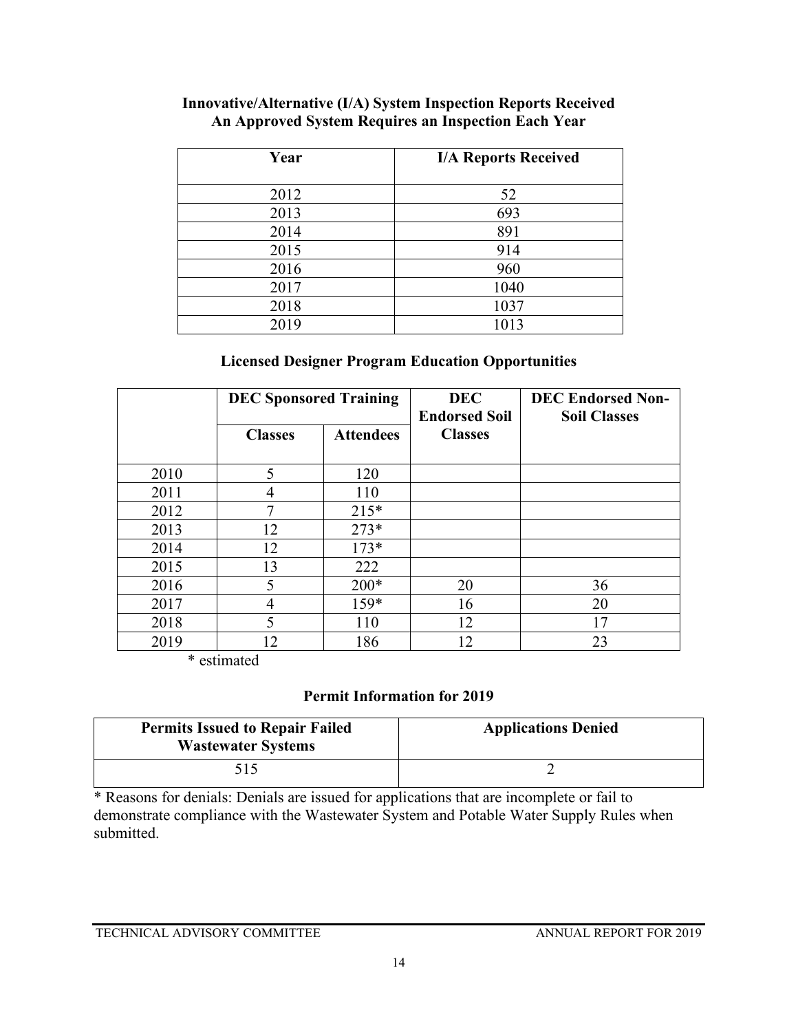| Year | <b>I/A Reports Received</b> |
|------|-----------------------------|
| 2012 | 52                          |
| 2013 | 693                         |
| 2014 | 891                         |
| 2015 | 914                         |
| 2016 | 960                         |
| 2017 | 1040                        |
| 2018 | 1037                        |
| 2019 | 1013                        |

#### **Innovative/Alternative (I/A) System Inspection Reports Received An Approved System Requires an Inspection Each Year**

### **Licensed Designer Program Education Opportunities**

|      | <b>DEC Sponsored Training</b> |                  | <b>DEC</b><br><b>Endorsed Soil</b> | <b>DEC Endorsed Non-</b><br><b>Soil Classes</b> |
|------|-------------------------------|------------------|------------------------------------|-------------------------------------------------|
|      | <b>Classes</b>                | <b>Attendees</b> | <b>Classes</b>                     |                                                 |
| 2010 | 5                             | 120              |                                    |                                                 |
| 2011 | 4                             | 110              |                                    |                                                 |
| 2012 | 7                             | $215*$           |                                    |                                                 |
| 2013 | 12                            | $273*$           |                                    |                                                 |
| 2014 | 12                            | $173*$           |                                    |                                                 |
| 2015 | 13                            | 222              |                                    |                                                 |
| 2016 | 5                             | $200*$           | 20                                 | 36                                              |
| 2017 | 4                             | $159*$           | 16                                 | 20                                              |
| 2018 | 5                             | 110              | 12                                 | 17                                              |
| 2019 | 12                            | 186              | 12                                 | 23                                              |

\* estimated

#### **Permit Information for 2019**

| <b>Permits Issued to Repair Failed</b><br><b>Wastewater Systems</b> | <b>Applications Denied</b> |
|---------------------------------------------------------------------|----------------------------|
| 515                                                                 |                            |

\* Reasons for denials: Denials are issued for applications that are incomplete or fail to demonstrate compliance with the Wastewater System and Potable Water Supply Rules when submitted.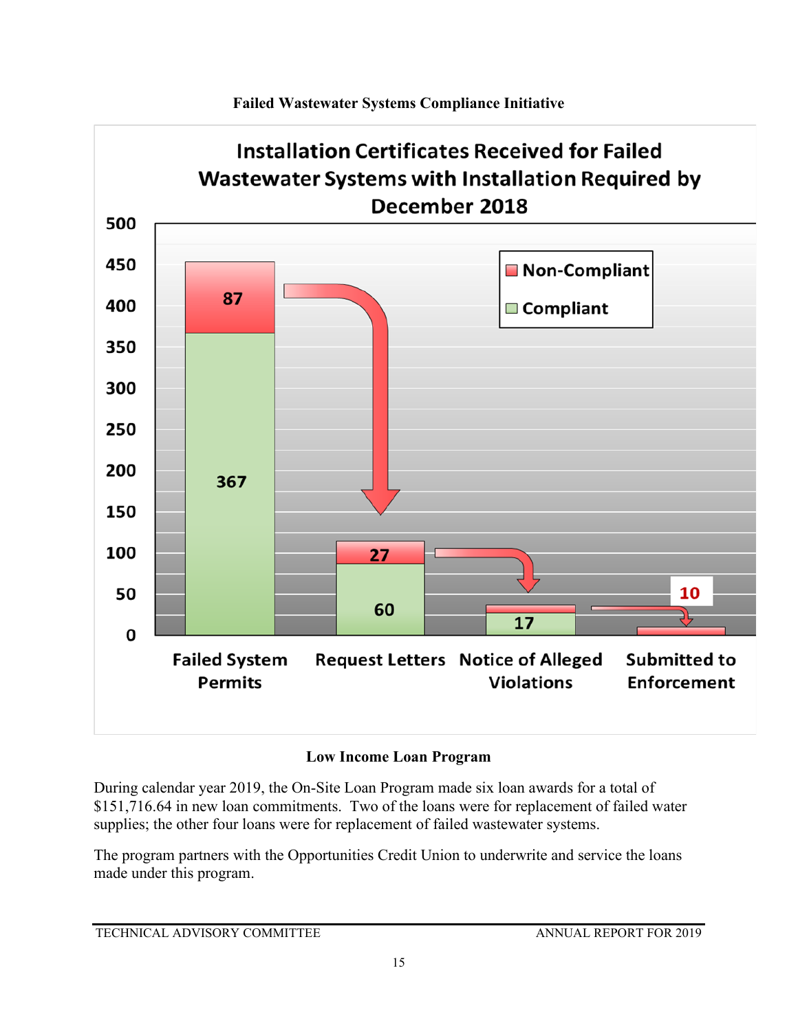

### **Low Income Loan Program**

During calendar year 2019, the On-Site Loan Program made six loan awards for a total of \$151,716.64 in new loan commitments. Two of the loans were for replacement of failed water supplies; the other four loans were for replacement of failed wastewater systems.

The program partners with the Opportunities Credit Union to underwrite and service the loans made under this program.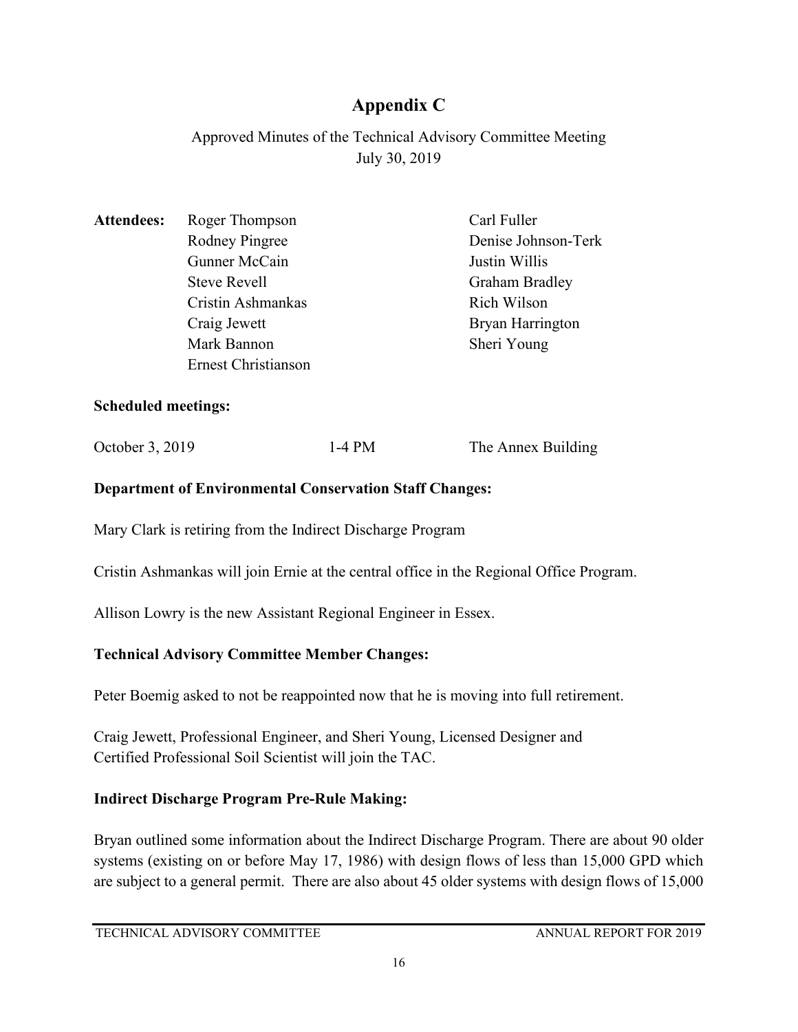# **Appendix C**

Approved Minutes of the Technical Advisory Committee Meeting July 30, 2019

| <b>Attendees:</b> | Roger Thompson             | Carl Fuller         |
|-------------------|----------------------------|---------------------|
|                   | <b>Rodney Pingree</b>      | Denise Johnson-Terk |
|                   | Gunner McCain              | Justin Willis       |
|                   | <b>Steve Revell</b>        | Graham Bradley      |
|                   | Cristin Ashmankas          | Rich Wilson         |
|                   | Craig Jewett               | Bryan Harrington    |
|                   | Mark Bannon                | Sheri Young         |
|                   | <b>Ernest Christianson</b> |                     |
|                   |                            |                     |

### **Scheduled meetings:**

October 3, 2019 1-4 PM The Annex Building

### **Department of Environmental Conservation Staff Changes:**

Mary Clark is retiring from the Indirect Discharge Program

Cristin Ashmankas will join Ernie at the central office in the Regional Office Program.

Allison Lowry is the new Assistant Regional Engineer in Essex.

### **Technical Advisory Committee Member Changes:**

Peter Boemig asked to not be reappointed now that he is moving into full retirement.

Craig Jewett, Professional Engineer, and Sheri Young, Licensed Designer and Certified Professional Soil Scientist will join the TAC.

### **Indirect Discharge Program Pre-Rule Making:**

Bryan outlined some information about the Indirect Discharge Program. There are about 90 older systems (existing on or before May 17, 1986) with design flows of less than 15,000 GPD which are subject to a general permit. There are also about 45 older systems with design flows of 15,000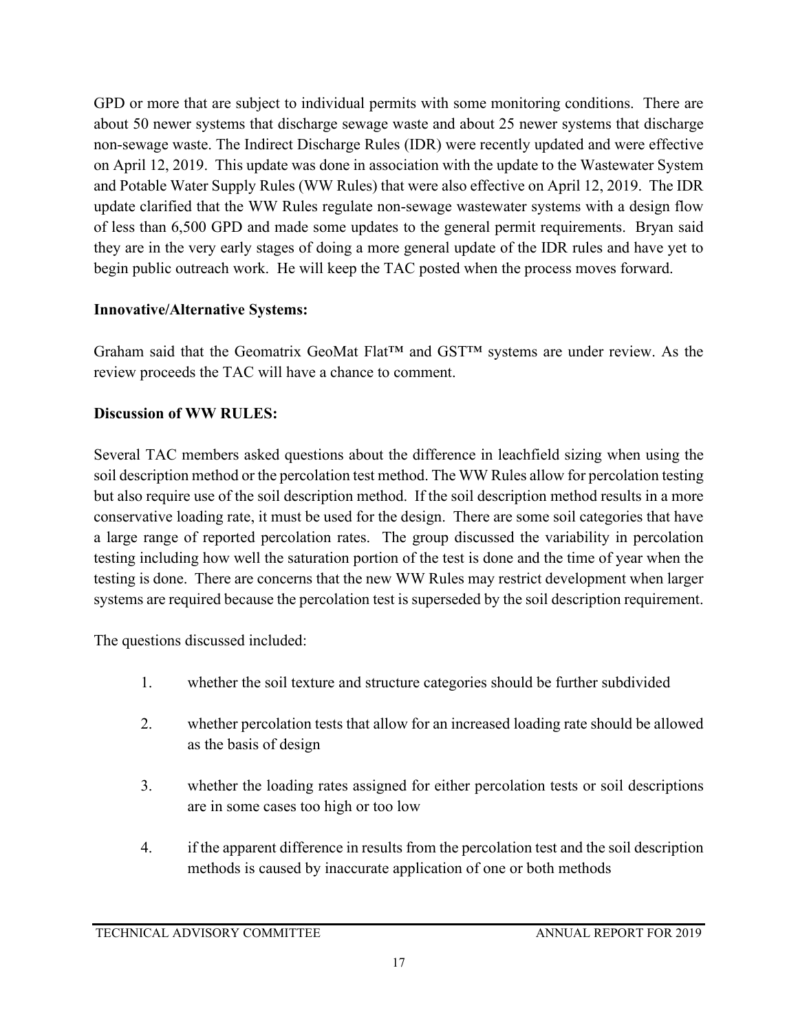GPD or more that are subject to individual permits with some monitoring conditions. There are about 50 newer systems that discharge sewage waste and about 25 newer systems that discharge non-sewage waste. The Indirect Discharge Rules (IDR) were recently updated and were effective on April 12, 2019. This update was done in association with the update to the Wastewater System and Potable Water Supply Rules (WW Rules) that were also effective on April 12, 2019. The IDR update clarified that the WW Rules regulate non-sewage wastewater systems with a design flow of less than 6,500 GPD and made some updates to the general permit requirements. Bryan said they are in the very early stages of doing a more general update of the IDR rules and have yet to begin public outreach work. He will keep the TAC posted when the process moves forward.

### **Innovative/Alternative Systems:**

Graham said that the Geomatrix GeoMat Flat™ and GST™ systems are under review. As the review proceeds the TAC will have a chance to comment.

### **Discussion of WW RULES:**

Several TAC members asked questions about the difference in leachfield sizing when using the soil description method or the percolation test method. The WW Rules allow for percolation testing but also require use of the soil description method. If the soil description method results in a more conservative loading rate, it must be used for the design. There are some soil categories that have a large range of reported percolation rates. The group discussed the variability in percolation testing including how well the saturation portion of the test is done and the time of year when the testing is done. There are concerns that the new WW Rules may restrict development when larger systems are required because the percolation test is superseded by the soil description requirement.

The questions discussed included:

- 1. whether the soil texture and structure categories should be further subdivided
- 2. whether percolation tests that allow for an increased loading rate should be allowed as the basis of design
- 3. whether the loading rates assigned for either percolation tests or soil descriptions are in some cases too high or too low
- 4. if the apparent difference in results from the percolation test and the soil description methods is caused by inaccurate application of one or both methods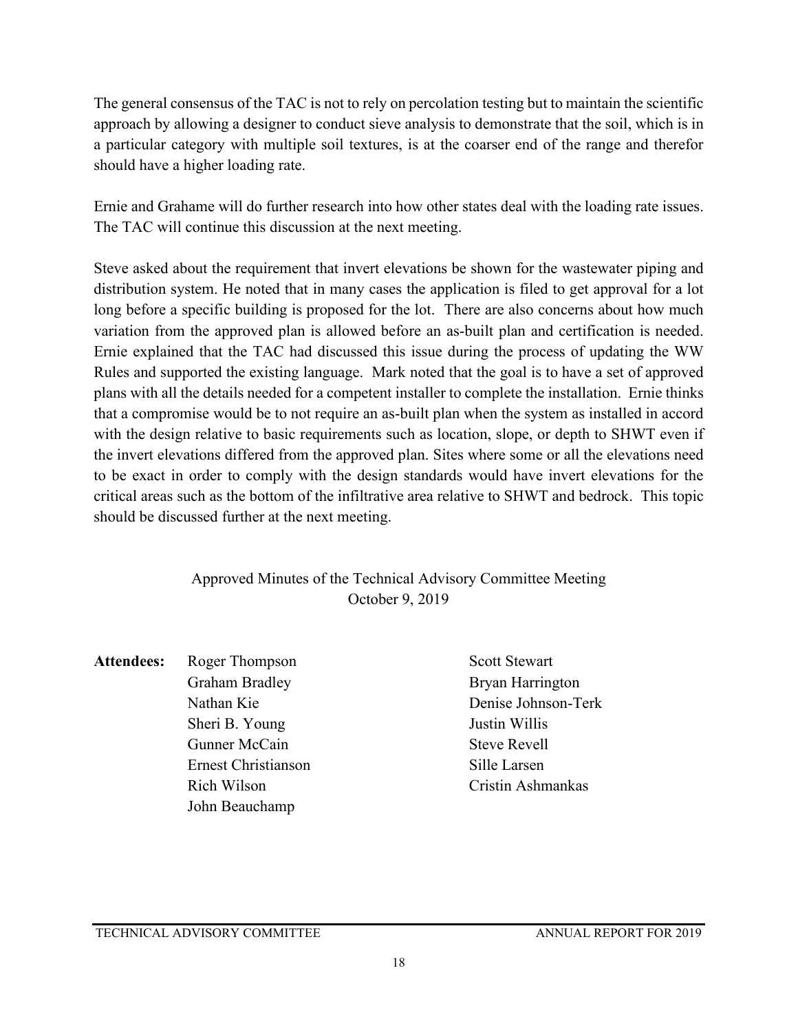The general consensus of the TAC is not to rely on percolation testing but to maintain the scientific approach by allowing a designer to conduct sieve analysis to demonstrate that the soil, which is in a particular category with multiple soil textures, is at the coarser end of the range and therefor should have a higher loading rate.

Ernie and Grahame will do further research into how other states deal with the loading rate issues. The TAC will continue this discussion at the next meeting.

Steve asked about the requirement that invert elevations be shown for the wastewater piping and distribution system. He noted that in many cases the application is filed to get approval for a lot long before a specific building is proposed for the lot. There are also concerns about how much variation from the approved plan is allowed before an as-built plan and certification is needed. Ernie explained that the TAC had discussed this issue during the process of updating the WW Rules and supported the existing language. Mark noted that the goal is to have a set of approved plans with all the details needed for a competent installer to complete the installation. Ernie thinks that a compromise would be to not require an as-built plan when the system as installed in accord with the design relative to basic requirements such as location, slope, or depth to SHWT even if the invert elevations differed from the approved plan. Sites where some or all the elevations need to be exact in order to comply with the design standards would have invert elevations for the critical areas such as the bottom of the infiltrative area relative to SHWT and bedrock. This topic should be discussed further at the next meeting.

> Approved Minutes of the Technical Advisory Committee Meeting October 9, 2019

- Attendees: Roger Thompson Scott Stewart Graham Bradley Bryan Harrington Sheri B. Young Justin Willis Gunner McCain Steve Revell Ernest Christianson Sille Larsen Rich Wilson Cristin Ashmankas John Beauchamp
- Nathan Kie Denise Johnson-Terk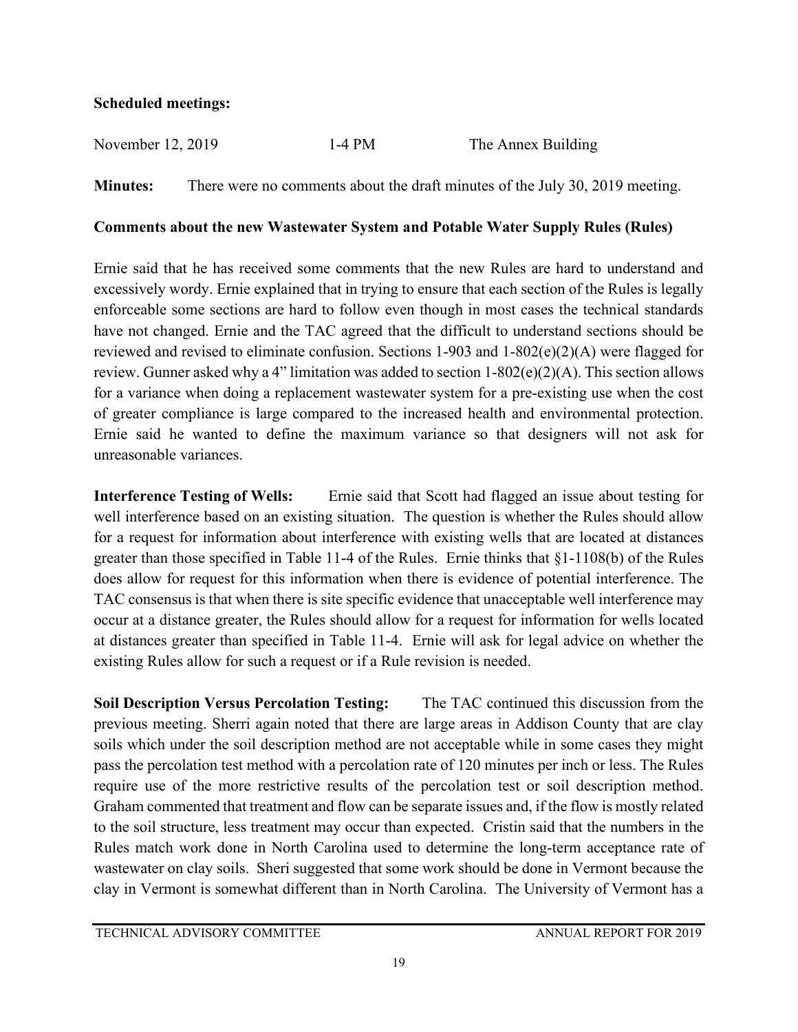### **Scheduled meetings:**

| November 12, 2019<br>1-4 PM | The Annex Building |
|-----------------------------|--------------------|
|-----------------------------|--------------------|

**Minutes:** There were no comments about the draft minutes of the July 30, 2019 meeting.

### **Comments about the new Wastewater System and Potable Water Supply Rules (Rules)**

Ernie said that he has received some comments that the new Rules are hard to understand and excessively wordy. Ernie explained that in trying to ensure that each section of the Rules is legally enforceable some sections are hard to follow even though in most cases the technical standards have not changed. Ernie and the TAC agreed that the difficult to understand sections should be reviewed and revised to eliminate confusion. Sections 1-903 and 1-802(e)(2)(A) were flagged for review. Gunner asked why a 4" limitation was added to section 1-802(e)(2)(A). This section allows for a variance when doing a replacement wastewater system for a pre-existing use when the cost of greater compliance is large compared to the increased health and environmental protection. Ernie said he wanted to define the maximum variance so that designers will not ask for unreasonable variances.

**Interference Testing of Wells:** Ernie said that Scott had flagged an issue about testing for well interference based on an existing situation. The question is whether the Rules should allow for a request for information about interference with existing wells that are located at distances greater than those specified in Table 11-4 of the Rules. Ernie thinks that §1-1108(b) of the Rules does allow for request for this information when there is evidence of potential interference. The TAC consensus is that when there is site specific evidence that unacceptable well interference may occur at a distance greater, the Rules should allow for a request for information for wells located at distances greater than specified in Table 11-4. Ernie will ask for legal advice on whether the existing Rules allow for such a request or if a Rule revision is needed.

**Soil Description Versus Percolation Testing:** The TAC continued this discussion from the previous meeting. Sherri again noted that there are large areas in Addison County that are clay soils which under the soil description method are not acceptable while in some cases they might pass the percolation test method with a percolation rate of 120 minutes per inch or less. The Rules require use of the more restrictive results of the percolation test or soil description method. Graham commented that treatment and flow can be separate issues and, if the flow is mostly related to the soil structure, less treatment may occur than expected. Cristin said that the numbers in the Rules match work done in North Carolina used to determine the long-term acceptance rate of wastewater on clay soils. Sheri suggested that some work should be done in Vermont because the clay in Vermont is somewhat different than in North Carolina. The University of Vermont has a